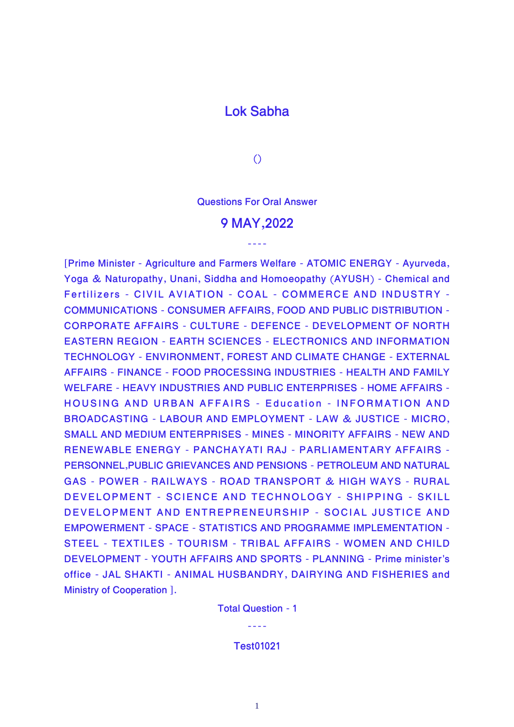## **Lok Sabha**

**()**

**Questions For Oral Answer**

## **9 MAY,2022**

----

**[Prime Minister - Agriculture and Farmers Welfare - ATOMIC ENERGY - Ayurveda, Yoga & Naturopathy, Unani, Siddha and Homoeopathy (AYUSH) - Chemical and Fertilizers - CIVIL AVIATION - COAL - COMMERCE AND INDUSTRY - COMMUNICATIONS - CONSUMER AFFAIRS, FOOD AND PUBLIC DISTRIBUTION - CORPORATE AFFAIRS - CULTURE - DEFENCE - DEVELOPMENT OF NORTH EASTERN REGION - EARTH SCIENCES - ELECTRONICS AND INFORMATION TECHNOLOGY - ENVIRONMENT, FOREST AND CLIMATE CHANGE - EXTERNAL AFFAIRS - FINANCE - FOOD PROCESSING INDUSTRIES - HEALTH AND FAMILY WELFARE - HEAVY INDUSTRIES AND PUBLIC ENTERPRISES - HOME AFFAIRS - HOUSING AND URBAN AFFAIRS - Education - INFORMATION AND BROADCASTING - LABOUR AND EMPLOYMENT - LAW & JUSTICE - MICRO, SMALL AND MEDIUM ENTERPRISES - MINES - MINORITY AFFAIRS - NEW AND RENEWABLE ENERGY - PANCHAYATI RAJ - PARLIAMENTARY AFFAIRS - PERSONNEL,PUBLIC GRIEVANCES AND PENSIONS - PETROLEUM AND NATURAL GAS - POWER - RAILWAYS - ROAD TRANSPORT & HIGH WAYS - RURAL DEVELOPMENT - SCIENCE AND TECHNOLOGY - SHIPPING - SKILL DEVELOPMENT AND ENTREPRENEURSHIP - SOCIAL JUSTICE AND EMPOWERMENT - SPACE - STATISTICS AND PROGRAMME IMPLEMENTATION - STEEL - TEXTILES - TOURISM - TRIBAL AFFAIRS - WOMEN AND CHILD DEVELOPMENT - YOUTH AFFAIRS AND SPORTS - PLANNING - Prime minister's office - JAL SHAKTI - ANIMAL HUSBANDRY, DAIRYING AND FISHERIES and Ministry of Cooperation ].**

**Total Question - 1**

----

**Test01021**